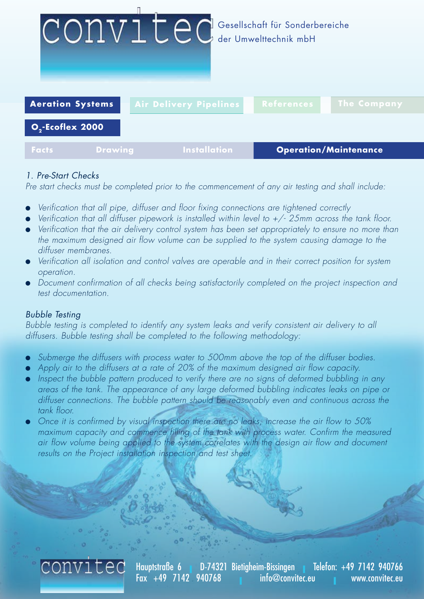

# *1. Pre-Start Checks*

*Pre start checks must be completed prior to the commencement of any air testing and shall include:*

- l *Verification that all pipe, diffuser and floor fixing connections are tightened correctly*
- l *Verification that all diffuser pipework is installed within level to +/- 25mm across the tank floor.*
- l *Verification that the air delivery control system has been set appropriately to ensure no more than the maximum designed air flow volume can be supplied to the system causing damage to the diffuser membranes.*
- l *Verification all isolation and control valves are operable and in their correct position for system operation.*
- **•** Document confirmation of all checks being satisfactorily completed on the project inspection and *test documentation.*

# *Bubble Testing*

*Bubble testing is completed to identify any system leaks and verify consistent air delivery to all diffusers. Bubble testing shall be completed to the following methodology:*

- l *Submerge the diffusers with process water to 500mm above the top of the diffuser bodies.*
- l *Apply air to the diffusers at a rate of 20% of the maximum designed air flow capacity.*
- **•** Inspect the bubble pattern produced to verify there are no signs of deformed bubbling in any *areas of the tank. The appearance of any large deformed bubbling indicates leaks on pipe or diffuser connections. The bubble pattern should be reasonably even and continuous across the tank floor.*
- l *Once it is confirmed by visual inspection there are no leaks, increase the air flow to 50%* maximum capacity and commence filling of the tank with process water. Confirm the measured *air flow volume being applied to the system correlates with the design air flow and document results on the Project installation inspection and test sheet.*



Hauptstraße 6 **I** D-74321 Bietigheim-Bissingen **I** Telefon: +49 7142 940766 info@convitec.eu